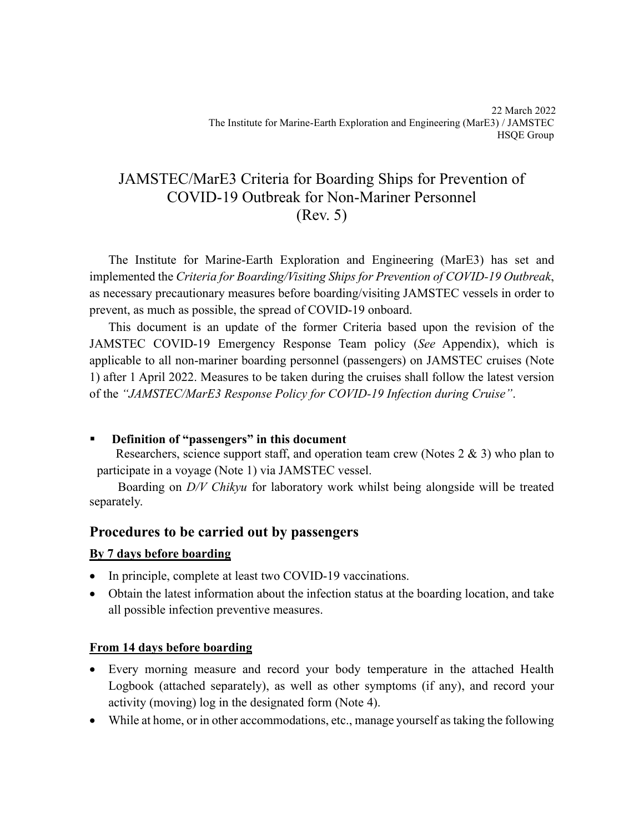# JAMSTEC/MarE3 Criteria for Boarding Ships for Prevention of COVID-19 Outbreak for Non-Mariner Personnel (Rev. 5)

The Institute for Marine-Earth Exploration and Engineering (MarE3) has set and implemented the *Criteria for Boarding/Visiting Ships for Prevention of COVID-19 Outbreak*, as necessary precautionary measures before boarding/visiting JAMSTEC vessels in order to prevent, as much as possible, the spread of COVID-19 onboard.

This document is an update of the former Criteria based upon the revision of the JAMSTEC COVID-19 Emergency Response Team policy (*See* Appendix), which is applicable to all non-mariner boarding personnel (passengers) on JAMSTEC cruises (Note 1) after 1 April 2022. Measures to be taken during the cruises shall follow the latest version of the *"JAMSTEC/MarE3 Response Policy for COVID-19 Infection during Cruise"*.

#### ▪ **Definition of "passengers" in this document**

Researchers, science support staff, and operation team crew (Notes 2 & 3) who plan to participate in a voyage (Note 1) via JAMSTEC vessel.

 Boarding on *D/V Chikyu* for laboratory work whilst being alongside will be treated separately.

#### **Procedures to be carried out by passengers**

#### **By 7 days before boarding**

- In principle, complete at least two COVID-19 vaccinations.
- Obtain the latest information about the infection status at the boarding location, and take all possible infection preventive measures.

#### **From 14 days before boarding**

- Every morning measure and record your body temperature in the attached Health Logbook (attached separately), as well as other symptoms (if any), and record your activity (moving) log in the designated form (Note 4).
- While at home, or in other accommodations, etc., manage yourself as taking the following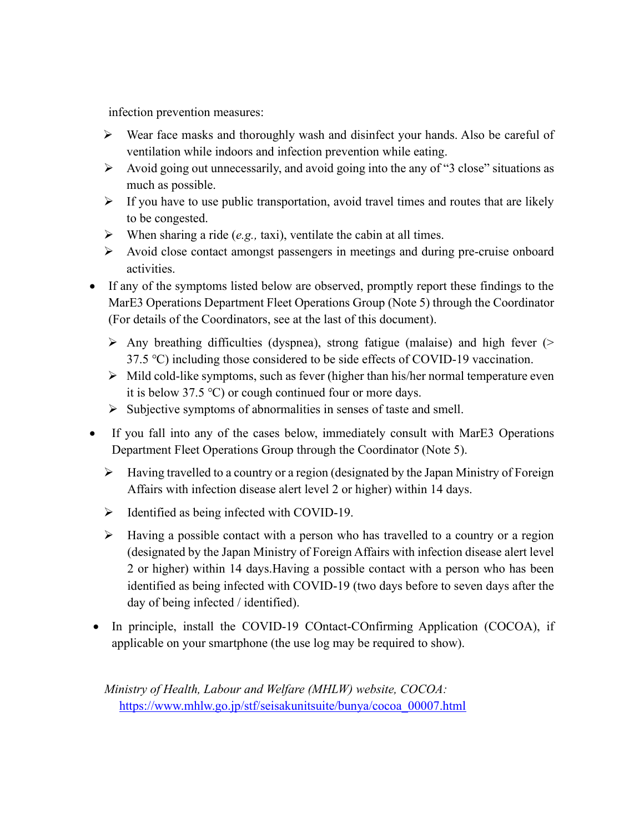infection prevention measures:

- ➢ Wear face masks and thoroughly wash and disinfect your hands. Also be careful of ventilation while indoors and infection prevention while eating.
- ➢ Avoid going out unnecessarily, and avoid going into the any of "3 close" situations as much as possible.
- $\triangleright$  If you have to use public transportation, avoid travel times and routes that are likely to be congested.
- ➢ When sharing a ride (*e.g.,* taxi), ventilate the cabin at all times.
- ➢ Avoid close contact amongst passengers in meetings and during pre-cruise onboard activities.
- If any of the symptoms listed below are observed, promptly report these findings to the MarE3 Operations Department Fleet Operations Group (Note 5) through the Coordinator (For details of the Coordinators, see at the last of this document).
	- ➢ Any breathing difficulties (dyspnea), strong fatigue (malaise) and high fever (> 37.5 ℃) including those considered to be side effects of COVID-19 vaccination.
	- $\triangleright$  Mild cold-like symptoms, such as fever (higher than his/her normal temperature even it is below 37.5 ℃) or cough continued four or more days.
	- ➢ Subjective symptoms of abnormalities in senses of taste and smell.
- If you fall into any of the cases below, immediately consult with MarE3 Operations Department Fleet Operations Group through the Coordinator (Note 5).
	- ➢ Having travelled to a country or a region (designated by the Japan Ministry of Foreign Affairs with infection disease alert level 2 or higher) within 14 days.
	- ➢ Identified as being infected with COVID-19.
	- ➢ Having a possible contact with a person who has travelled to a country or a region (designated by the Japan Ministry of Foreign Affairs with infection disease alert level 2 or higher) within 14 days.Having a possible contact with a person who has been identified as being infected with COVID-19 (two days before to seven days after the day of being infected / identified).
- In principle, install the COVID-19 COntact-COnfirming Application (COCOA), if applicable on your smartphone (the use log may be required to show).

*Ministry of Health, Labour and Welfare (MHLW) website, COCOA:* [https://www.mhlw.go.jp/stf/seisakunitsuite/bunya/cocoa\\_00007.html](https://www.mhlw.go.jp/stf/seisakunitsuite/bunya/cocoa_00007.html)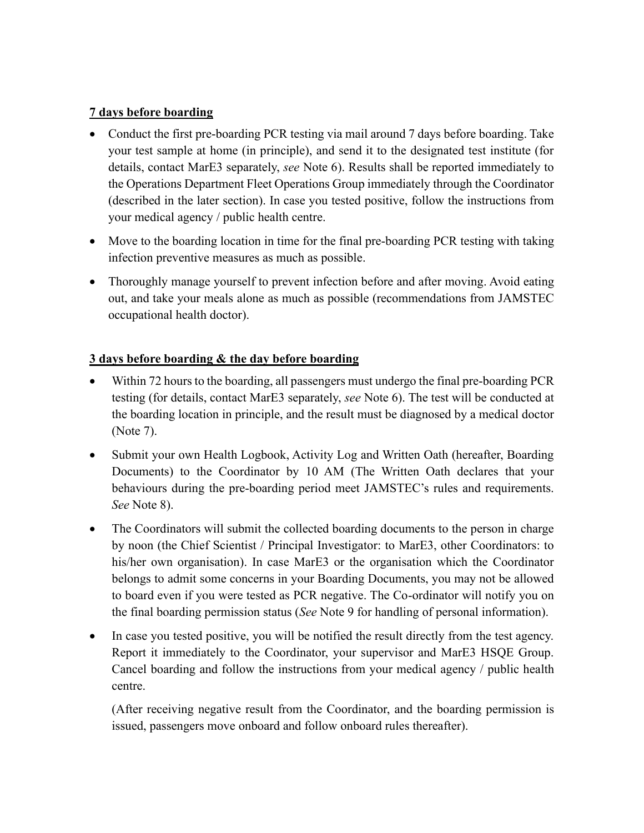#### **7 days before boarding**

- Conduct the first pre-boarding PCR testing via mail around 7 days before boarding. Take your test sample at home (in principle), and send it to the designated test institute (for details, contact MarE3 separately, *see* Note 6). Results shall be reported immediately to the Operations Department Fleet Operations Group immediately through the Coordinator (described in the later section). In case you tested positive, follow the instructions from your medical agency / public health centre.
- Move to the boarding location in time for the final pre-boarding PCR testing with taking infection preventive measures as much as possible.
- Thoroughly manage yourself to prevent infection before and after moving. Avoid eating out, and take your meals alone as much as possible (recommendations from JAMSTEC occupational health doctor).

### **3 days before boarding & the day before boarding**

- Within 72 hours to the boarding, all passengers must undergo the final pre-boarding PCR testing (for details, contact MarE3 separately, *see* Note 6). The test will be conducted at the boarding location in principle, and the result must be diagnosed by a medical doctor (Note 7).
- Submit your own Health Logbook, Activity Log and Written Oath (hereafter, Boarding Documents) to the Coordinator by 10 AM (The Written Oath declares that your behaviours during the pre-boarding period meet JAMSTEC's rules and requirements. *See* Note 8).
- The Coordinators will submit the collected boarding documents to the person in charge by noon (the Chief Scientist / Principal Investigator: to MarE3, other Coordinators: to his/her own organisation). In case MarE3 or the organisation which the Coordinator belongs to admit some concerns in your Boarding Documents, you may not be allowed to board even if you were tested as PCR negative. The Co-ordinator will notify you on the final boarding permission status (*See* Note 9 for handling of personal information).
- In case you tested positive, you will be notified the result directly from the test agency. Report it immediately to the Coordinator, your supervisor and MarE3 HSQE Group. Cancel boarding and follow the instructions from your medical agency / public health centre.

(After receiving negative result from the Coordinator, and the boarding permission is issued, passengers move onboard and follow onboard rules thereafter).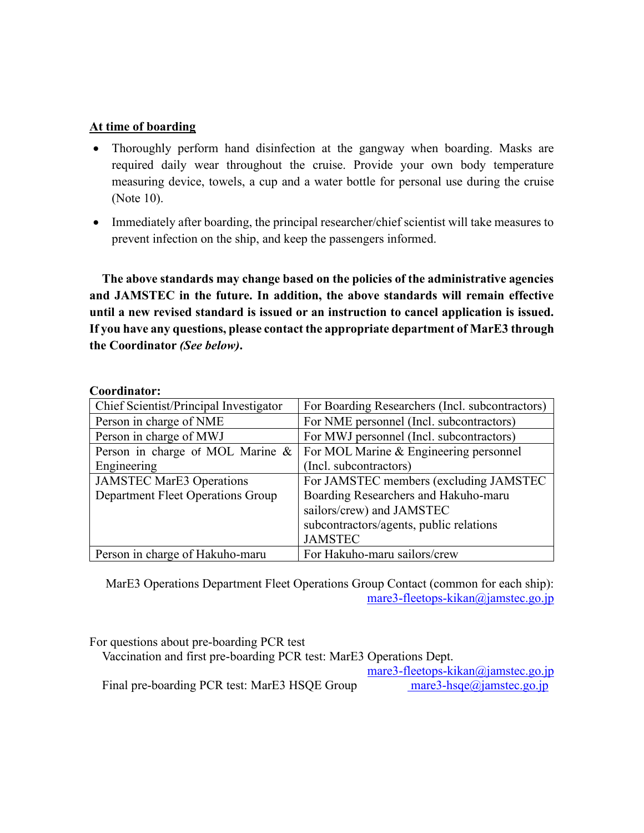#### **At time of boarding**

- Thoroughly perform hand disinfection at the gangway when boarding. Masks are required daily wear throughout the cruise. Provide your own body temperature measuring device, towels, a cup and a water bottle for personal use during the cruise (Note 10).
- Immediately after boarding, the principal researcher/chief scientist will take measures to prevent infection on the ship, and keep the passengers informed.

**The above standards may change based on the policies of the administrative agencies and JAMSTEC in the future. In addition, the above standards will remain effective until a new revised standard is issued or an instruction to cancel application is issued. If you have any questions, please contact the appropriate department of MarE3 through the Coordinator** *(See below)***.**

#### **Coordinator:**

| Chief Scientist/Principal Investigator | For Boarding Researchers (Incl. subcontractors) |
|----------------------------------------|-------------------------------------------------|
| Person in charge of NME                | For NME personnel (Incl. subcontractors)        |
| Person in charge of MWJ                | For MWJ personnel (Incl. subcontractors)        |
| Person in charge of MOL Marine $\&$    | For MOL Marine & Engineering personnel          |
| Engineering                            | (Incl. subcontractors)                          |
| <b>JAMSTEC MarE3 Operations</b>        | For JAMSTEC members (excluding JAMSTEC          |
| Department Fleet Operations Group      | Boarding Researchers and Hakuho-maru            |
|                                        | sailors/crew) and JAMSTEC                       |
|                                        | subcontractors/agents, public relations         |
|                                        | <b>JAMSTEC</b>                                  |
| Person in charge of Hakuho-maru        | For Hakuho-maru sailors/crew                    |

MarE3 Operations Department Fleet Operations Group Contact (common for each ship): [mare3-fleetops-kikan@jamstec.go.jp](mailto:mare3-fleetops-kikan@jamstec.go.jp)

For questions about pre-boarding PCR test

Vaccination and first pre-boarding PCR test: MarE3 Operations Dept.

[mare3-fleetops-kikan@jamstec.go.jp](mailto:mare3-fleetops-kikan@jamstec.go.jp)

Final pre-boarding PCR test: MarE3 HSQE Group [mare3-hsqe@jamstec.go.jp](mailto:%20mare3-hsqe@jamstec.go.jp)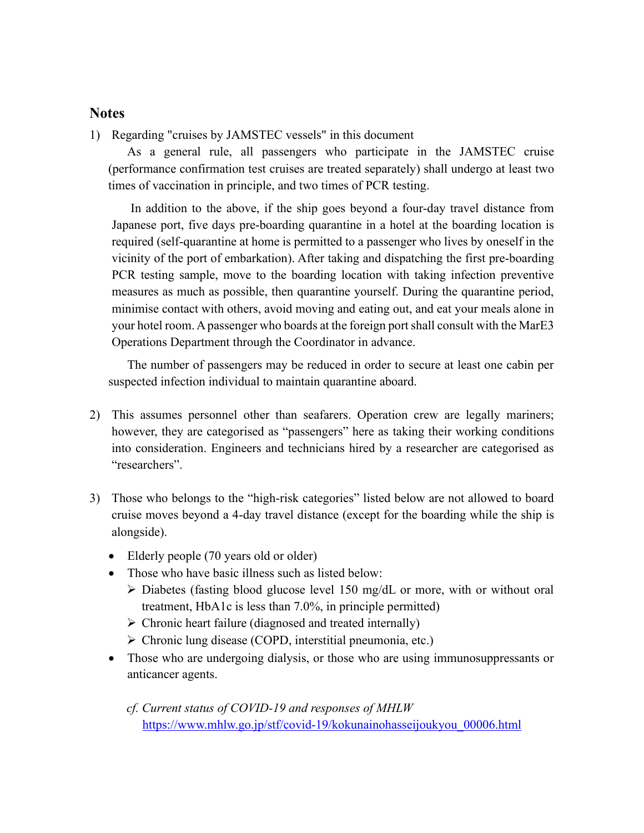#### **Notes**

1) Regarding "cruises by JAMSTEC vessels" in this document

As a general rule, all passengers who participate in the JAMSTEC cruise (performance confirmation test cruises are treated separately) shall undergo at least two times of vaccination in principle, and two times of PCR testing.

In addition to the above, if the ship goes beyond a four-day travel distance from Japanese port, five days pre-boarding quarantine in a hotel at the boarding location is required (self-quarantine at home is permitted to a passenger who lives by oneself in the vicinity of the port of embarkation). After taking and dispatching the first pre-boarding PCR testing sample, move to the boarding location with taking infection preventive measures as much as possible, then quarantine yourself. During the quarantine period, minimise contact with others, avoid moving and eating out, and eat your meals alone in your hotel room. A passenger who boards at the foreign port shall consult with the MarE3 Operations Department through the Coordinator in advance.

The number of passengers may be reduced in order to secure at least one cabin per suspected infection individual to maintain quarantine aboard.

- 2) This assumes personnel other than seafarers. Operation crew are legally mariners; however, they are categorised as "passengers" here as taking their working conditions into consideration. Engineers and technicians hired by a researcher are categorised as "researchers".
- 3) Those who belongs to the "high-risk categories" listed below are not allowed to board cruise moves beyond a 4-day travel distance (except for the boarding while the ship is alongside).
	- Elderly people (70 years old or older)
	- Those who have basic illness such as listed below:
		- ➢ Diabetes (fasting blood glucose level 150 mg/dL or more, with or without oral treatment, HbA1c is less than 7.0%, in principle permitted)
		- ➢ Chronic heart failure (diagnosed and treated internally)
		- ➢ Chronic lung disease (COPD, interstitial pneumonia, etc.)
	- Those who are undergoing dialysis, or those who are using immunosuppressants or anticancer agents.

*cf. Current status of COVID-19 and responses of MHLW* [https://www.mhlw.go.jp/stf/covid-19/kokunainohasseijoukyou\\_00006.html](https://www.mhlw.go.jp/stf/covid-19/kokunainohasseijoukyou_00006.html)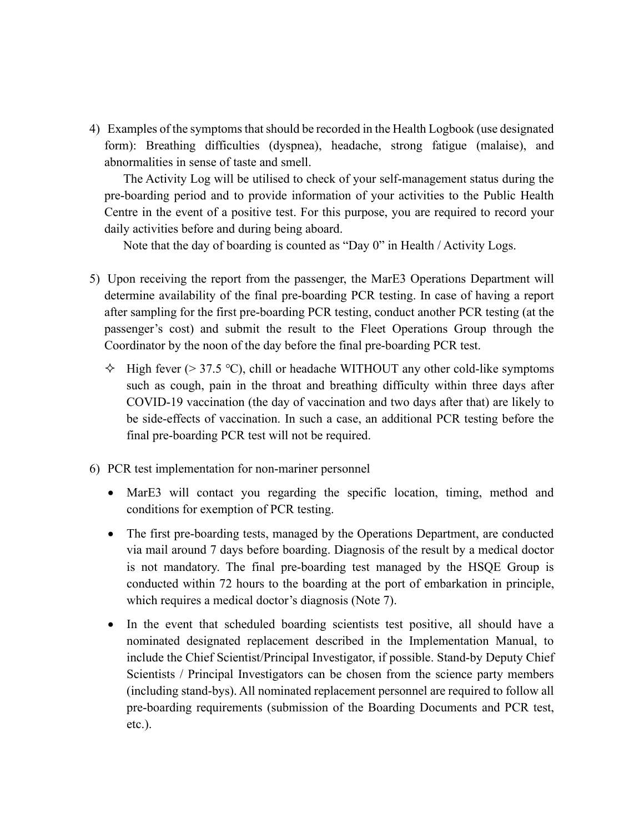4) Examples of the symptoms that should be recorded in the Health Logbook (use designated form): Breathing difficulties (dyspnea), headache, strong fatigue (malaise), and abnormalities in sense of taste and smell.

The Activity Log will be utilised to check of your self-management status during the pre-boarding period and to provide information of your activities to the Public Health Centre in the event of a positive test. For this purpose, you are required to record your daily activities before and during being aboard.

Note that the day of boarding is counted as "Day 0" in Health / Activity Logs.

- 5) Upon receiving the report from the passenger, the MarE3 Operations Department will determine availability of the final pre-boarding PCR testing. In case of having a report after sampling for the first pre-boarding PCR testing, conduct another PCR testing (at the passenger's cost) and submit the result to the Fleet Operations Group through the Coordinator by the noon of the day before the final pre-boarding PCR test.
	- $\div$  High fever (> 37.5 °C), chill or headache WITHOUT any other cold-like symptoms such as cough, pain in the throat and breathing difficulty within three days after COVID-19 vaccination (the day of vaccination and two days after that) are likely to be side-effects of vaccination. In such a case, an additional PCR testing before the final pre-boarding PCR test will not be required.
- 6) PCR test implementation for non-mariner personnel
	- MarE3 will contact you regarding the specific location, timing, method and conditions for exemption of PCR testing.
	- The first pre-boarding tests, managed by the Operations Department, are conducted via mail around 7 days before boarding. Diagnosis of the result by a medical doctor is not mandatory. The final pre-boarding test managed by the HSQE Group is conducted within 72 hours to the boarding at the port of embarkation in principle, which requires a medical doctor's diagnosis (Note 7).
	- In the event that scheduled boarding scientists test positive, all should have a nominated designated replacement described in the Implementation Manual, to include the Chief Scientist/Principal Investigator, if possible. Stand-by Deputy Chief Scientists / Principal Investigators can be chosen from the science party members (including stand-bys). All nominated replacement personnel are required to follow all pre-boarding requirements (submission of the Boarding Documents and PCR test, etc.).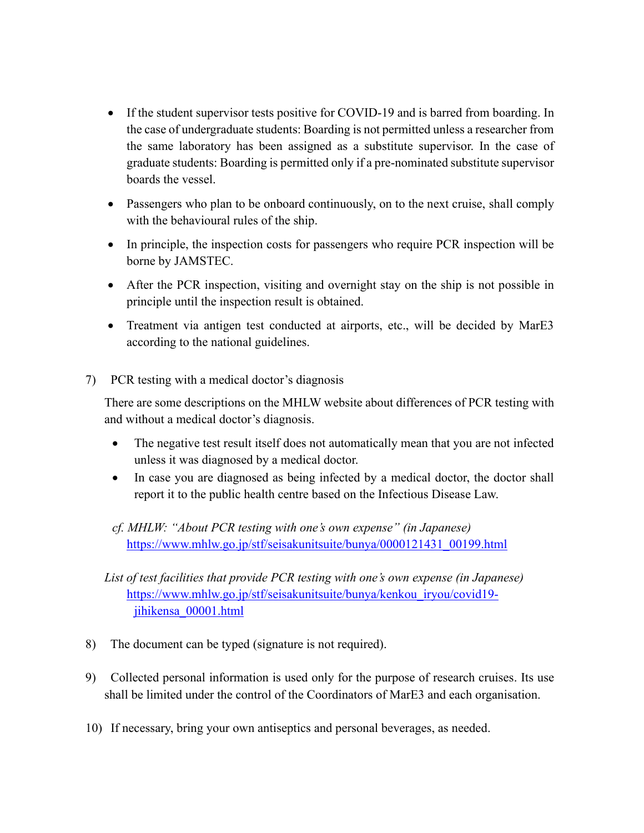- If the student supervisor tests positive for COVID-19 and is barred from boarding. In the case of undergraduate students: Boarding is not permitted unless a researcher from the same laboratory has been assigned as a substitute supervisor. In the case of graduate students: Boarding is permitted only if a pre-nominated substitute supervisor boards the vessel.
- Passengers who plan to be onboard continuously, on to the next cruise, shall comply with the behavioural rules of the ship.
- In principle, the inspection costs for passengers who require PCR inspection will be borne by JAMSTEC.
- After the PCR inspection, visiting and overnight stay on the ship is not possible in principle until the inspection result is obtained.
- Treatment via antigen test conducted at airports, etc., will be decided by MarE3 according to the national guidelines.
- 7) PCR testing with a medical doctor's diagnosis

There are some descriptions on the MHLW website about differences of PCR testing with and without a medical doctor's diagnosis.

- The negative test result itself does not automatically mean that you are not infected unless it was diagnosed by a medical doctor.
- In case you are diagnosed as being infected by a medical doctor, the doctor shall report it to the public health centre based on the Infectious Disease Law.
- *cf. MHLW: "About PCR testing with one's own expense" (in Japanese)* [https://www.mhlw.go.jp/stf/seisakunitsuite/bunya/0000121431\\_00199.html](https://www.mhlw.go.jp/stf/seisakunitsuite/bunya/0000121431_00199.html)
- *List of test facilities that provide PCR testing with one's own expense (in Japanese)* [https://www.mhlw.go.jp/stf/seisakunitsuite/bunya/kenkou\\_iryou/covid19](https://www.mhlw.go.jp/stf/seisakunitsuite/bunya/kenkou_iryou/covid19-jihikensa_00001.html) [jihikensa\\_00001.html](https://www.mhlw.go.jp/stf/seisakunitsuite/bunya/kenkou_iryou/covid19-jihikensa_00001.html)
- 8) The document can be typed (signature is not required).
- 9) Collected personal information is used only for the purpose of research cruises. Its use shall be limited under the control of the Coordinators of MarE3 and each organisation.
- 10) If necessary, bring your own antiseptics and personal beverages, as needed.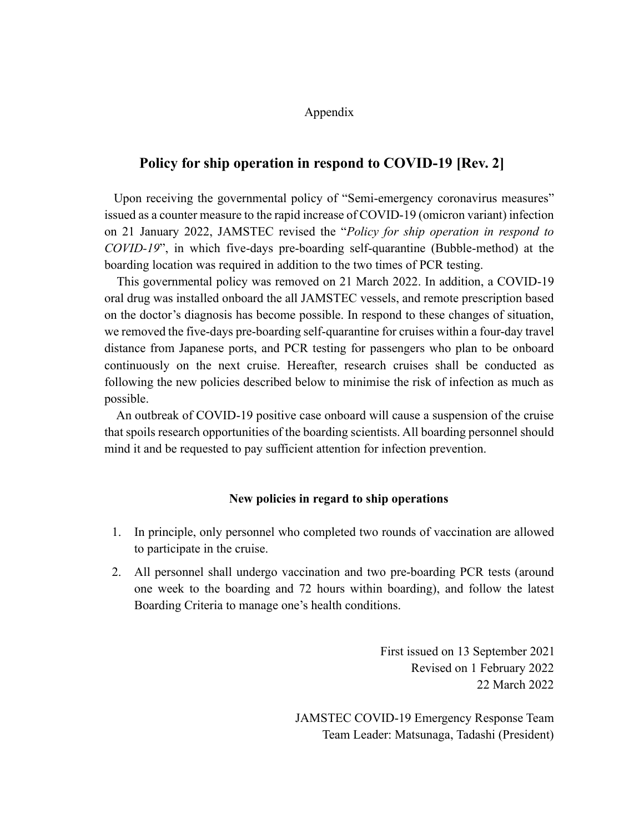Appendix

#### **Policy for ship operation in respond to COVID-19 [Rev. 2]**

 Upon receiving the governmental policy of "Semi-emergency coronavirus measures" issued as a counter measure to the rapid increase of COVID-19 (omicron variant) infection on 21 January 2022, JAMSTEC revised the "*Policy for ship operation in respond to COVID-19*", in which five-days pre-boarding self-quarantine (Bubble-method) at the boarding location was required in addition to the two times of PCR testing.

 This governmental policy was removed on 21 March 2022. In addition, a COVID-19 oral drug was installed onboard the all JAMSTEC vessels, and remote prescription based on the doctor's diagnosis has become possible. In respond to these changes of situation, we removed the five-days pre-boarding self-quarantine for cruises within a four-day travel distance from Japanese ports, and PCR testing for passengers who plan to be onboard continuously on the next cruise. Hereafter, research cruises shall be conducted as following the new policies described below to minimise the risk of infection as much as possible.

 An outbreak of COVID-19 positive case onboard will cause a suspension of the cruise that spoils research opportunities of the boarding scientists. All boarding personnel should mind it and be requested to pay sufficient attention for infection prevention.

#### **New policies in regard to ship operations**

- 1. In principle, only personnel who completed two rounds of vaccination are allowed to participate in the cruise.
- 2. All personnel shall undergo vaccination and two pre-boarding PCR tests (around one week to the boarding and 72 hours within boarding), and follow the latest Boarding Criteria to manage one's health conditions.

First issued on 13 September 2021 Revised on 1 February 2022 22 March 2022

JAMSTEC COVID-19 Emergency Response Team Team Leader: Matsunaga, Tadashi (President)